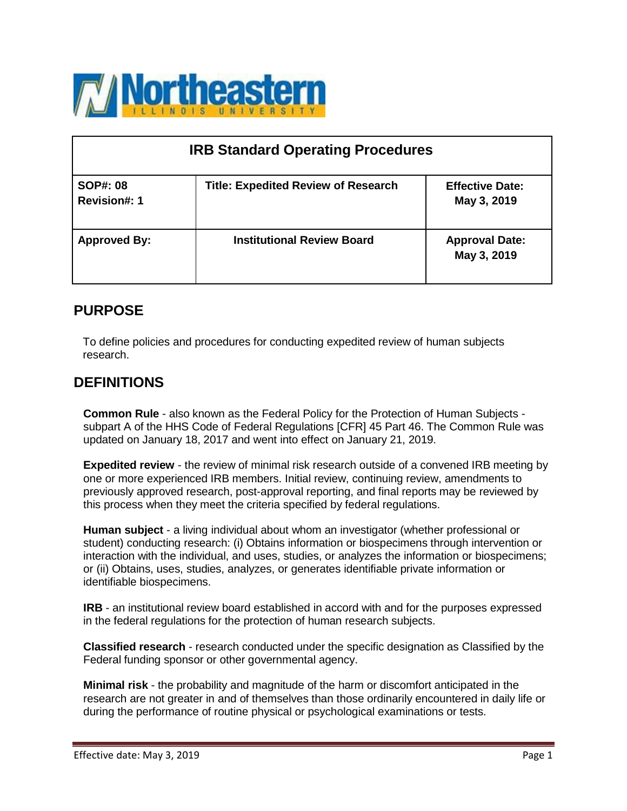

| <b>IRB Standard Operating Procedures</b> |                                            |                                       |  |
|------------------------------------------|--------------------------------------------|---------------------------------------|--|
| <b>SOP#: 08</b><br><b>Revision#: 1</b>   | <b>Title: Expedited Review of Research</b> | <b>Effective Date:</b><br>May 3, 2019 |  |
| <b>Approved By:</b>                      | <b>Institutional Review Board</b>          | <b>Approval Date:</b><br>May 3, 2019  |  |

# **PURPOSE**

To define policies and procedures for conducting expedited review of human subjects research.

### **DEFINITIONS**

**Common Rule** - also known as the Federal Policy for the Protection of Human Subjects subpart A of the HHS Code of Federal Regulations [CFR] 45 Part 46. The Common Rule was updated on January 18, 2017 and went into effect on January 21, 2019.

**Expedited review** - the review of minimal risk research outside of a convened IRB meeting by one or more experienced IRB members. Initial review, continuing review, amendments to previously approved research, post-approval reporting, and final reports may be reviewed by this process when they meet the criteria specified by federal regulations.

**Human subject** - a living individual about whom an investigator (whether professional or student) conducting research: (i) Obtains information or biospecimens through intervention or interaction with the individual, and uses, studies, or analyzes the information or biospecimens; or (ii) Obtains, uses, studies, analyzes, or generates identifiable private information or identifiable biospecimens.

**IRB** - an institutional review board established in accord with and for the purposes expressed in the federal regulations for the protection of human research subjects.

**Classified research** - research conducted under the specific designation as Classified by the Federal funding sponsor or other governmental agency.

**Minimal risk** - the probability and magnitude of the harm or discomfort anticipated in the research are not greater in and of themselves than those ordinarily encountered in daily life or during the performance of routine physical or psychological examinations or tests.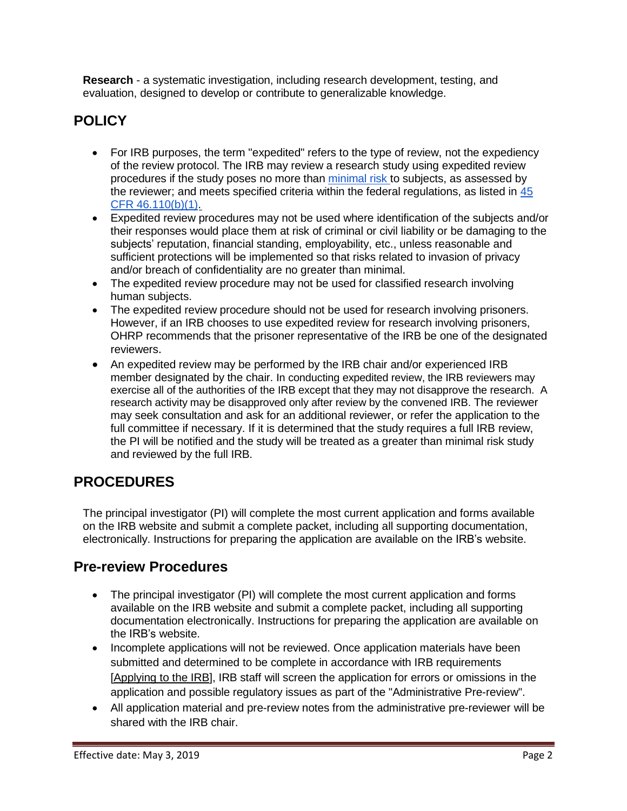**Research** - a systematic investigation, including research development, testing, and evaluation, designed to develop or contribute to generalizable knowledge.

# **POLICY**

- For IRB purposes, the term "expedited" refers to the type of review, not the expediency of the review protocol. The IRB may review a research study using expedited review procedures if the study poses no more than [minimal risk](http://ora.research.ucla.edu/OHRPP/Documents/Policy/4/Minimal_Risk.pdf) to subjects, as assessed by the reviewer; and meets specified criteria within the federal regulations, as listed in  $45$ [CFR 46.110\(b\)\(1\).](http://www.hhs.gov/ohrp/humansubjects/guidance/45cfr46.html#46.110)
- Expedited review procedures may not be used where identification of the subjects and/or their responses would place them at risk of criminal or civil liability or be damaging to the subjects' reputation, financial standing, employability, etc., unless reasonable and sufficient protections will be implemented so that risks related to invasion of privacy and/or breach of confidentiality are no greater than minimal.
- The expedited review procedure may not be used for classified research involving human subjects.
- The expedited review procedure should not be used for research involving prisoners. However, if an IRB chooses to use expedited review for research involving prisoners, OHRP recommends that the prisoner representative of the IRB be one of the designated reviewers.
- An expedited review may be performed by the IRB chair and/or experienced IRB member designated by the chair. In conducting expedited review, the IRB reviewers may exercise all of the authorities of the IRB except that they may not disapprove the research. A research activity may be disapproved only after review by the convened IRB. The reviewer may seek consultation and ask for an additional reviewer, or refer the application to the full committee if necessary. If it is determined that the study requires a full IRB review, the PI will be notified and the study will be treated as a greater than minimal risk study and reviewed by the full IRB.

# **PROCEDURES**

The principal investigator (PI) will complete the most current application and forms available on the IRB website and submit a complete packet, including all supporting documentation, electronically. Instructions for preparing the application are available on the IRB's website.

### **Pre-review Procedures**

- The principal investigator (PI) will complete the most current application and forms available on the IRB website and submit a complete packet, including all supporting documentation electronically. Instructions for preparing the application are available on the IRB's website.
- Incomplete applications will not be reviewed. Once application materials have been submitted and determined to be complete in accordance with IRB requirements [\[Applying](https://www.neiu.edu/academics/research-resources/institutional-review-board/resources-and-templates-new-research) to the IRB], IRB staff will screen the application for errors or omissions in the application and possible regulatory issues as part of the "Administrative Pre-review".
- All application material and pre-review notes from the administrative pre-reviewer will be shared with the IRB chair.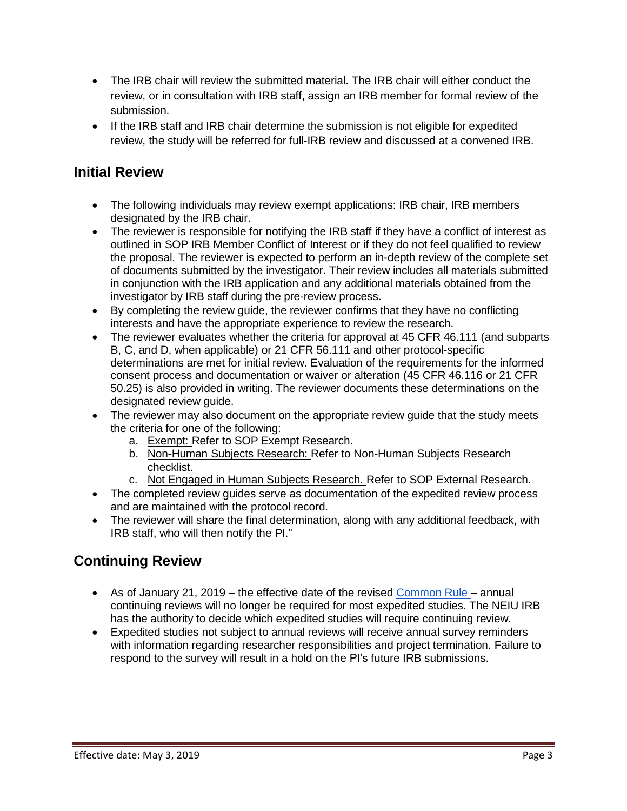- The IRB chair will review the submitted material. The IRB chair will either conduct the review, or in consultation with IRB staff, assign an IRB member for formal review of the submission.
- If the IRB staff and IRB chair determine the submission is not eligible for expedited review, the study will be referred for full-IRB review and discussed at a convened IRB.

## **Initial Review**

- The following individuals may review exempt applications: IRB chair, IRB members designated by the IRB chair.
- The reviewer is responsible for notifying the IRB staff if they have a conflict of interest as outlined in SOP IRB Member Conflict of Interest or if they do not feel qualified to review the proposal. The reviewer is expected to perform an in-depth review of the complete set of documents submitted by the investigator. Their review includes all materials submitted in conjunction with the IRB application and any additional materials obtained from the investigator by IRB staff during the pre-review process.
- By completing the review guide, the reviewer confirms that they have no conflicting interests and have the appropriate experience to review the research.
- The reviewer evaluates whether the criteria for approval at 45 CFR 46.111 (and subparts B, C, and D, when applicable) or 21 CFR 56.111 and other protocol-specific determinations are met for initial review. Evaluation of the requirements for the informed consent process and documentation or waiver or alteration (45 CFR 46.116 or 21 CFR 50.25) is also provided in writing. The reviewer documents these determinations on the designated review guide.
- The reviewer may also document on the appropriate review guide that the study meets the criteria for one of the following:
	- a. Exempt: Refer to SOP Exempt Research.
	- b. Non-Human Subjects Research: Refer to Non-Human Subjects Research checklist.
	- c. Not Engaged in Human Subjects Research. Refer to SOP External Research.
- The completed review guides serve as documentation of the expedited review process and are maintained with the protocol record.
- The reviewer will share the final determination, along with any additional feedback, with IRB staff, who will then notify the PI."

# **Continuing Review**

- As of January 21, 2019 the effective date of the revised [Common](https://www.ecfr.gov/cgi-bin/retrieveECFR?gp&SID=83cd09e1c0f5c6937cd9d7513160fc3f&pitd=20180719&n=pt45.1.46&r=PART&ty=HTML&se45.1.46_1102) Rule annual continuing reviews will no longer be required for most expedited studies. The NEIU IRB has the authority to decide which expedited studies will require continuing review.
- Expedited studies not subject to annual reviews will receive annual survey reminders with information regarding researcher responsibilities and project termination. Failure to respond to the survey will result in a hold on the PI's future IRB submissions.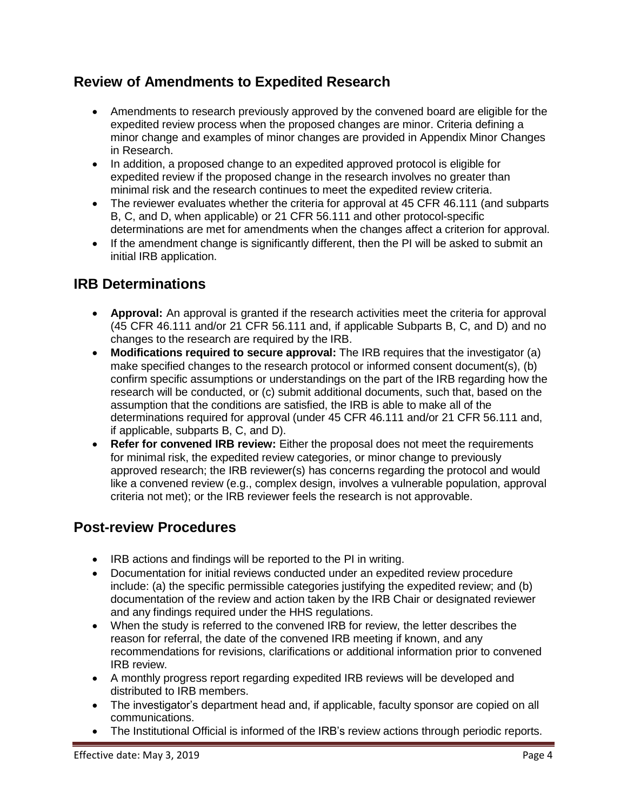# **Review of Amendments to Expedited Research**

- Amendments to research previously approved by the convened board are eligible for the expedited review process when the proposed changes are minor. Criteria defining a minor change and examples of minor changes are provided in Appendix Minor Changes in Research.
- In addition, a proposed change to an expedited approved protocol is eligible for expedited review if the proposed change in the research involves no greater than minimal risk and the research continues to meet the expedited review criteria.
- The reviewer evaluates whether the criteria for approval at 45 CFR 46.111 (and subparts B, C, and D, when applicable) or 21 CFR 56.111 and other protocol-specific determinations are met for amendments when the changes affect a criterion for approval.
- If the amendment change is significantly different, then the PI will be asked to submit an initial IRB application.

# **IRB Determinations**

- **Approval:** An approval is granted if the research activities meet the criteria for approval (45 CFR 46.111 and/or 21 CFR 56.111 and, if applicable Subparts B, C, and D) and no changes to the research are required by the IRB.
- **Modifications required to secure approval:** The IRB requires that the investigator (a) make specified changes to the research protocol or informed consent document(s), (b) confirm specific assumptions or understandings on the part of the IRB regarding how the research will be conducted, or (c) submit additional documents, such that, based on the assumption that the conditions are satisfied, the IRB is able to make all of the determinations required for approval (under 45 CFR 46.111 and/or 21 CFR 56.111 and, if applicable, subparts B, C, and D).
- **Refer for convened IRB review:** Either the proposal does not meet the requirements for minimal risk, the expedited review categories, or minor change to previously approved research; the IRB reviewer(s) has concerns regarding the protocol and would like a convened review (e.g., complex design, involves a vulnerable population, approval criteria not met); or the IRB reviewer feels the research is not approvable.

### **Post-review Procedures**

- IRB actions and findings will be reported to the PI in writing.
- Documentation for initial reviews conducted under an expedited review procedure include: (a) the specific permissible categories justifying the expedited review; and (b) documentation of the review and action taken by the IRB Chair or designated reviewer and any findings required under the HHS regulations.
- When the study is referred to the convened IRB for review, the letter describes the reason for referral, the date of the convened IRB meeting if known, and any recommendations for revisions, clarifications or additional information prior to convened IRB review.
- A monthly progress report regarding expedited IRB reviews will be developed and distributed to IRB members.
- The investigator's department head and, if applicable, faculty sponsor are copied on all communications.
- The Institutional Official is informed of the IRB's review actions through periodic reports.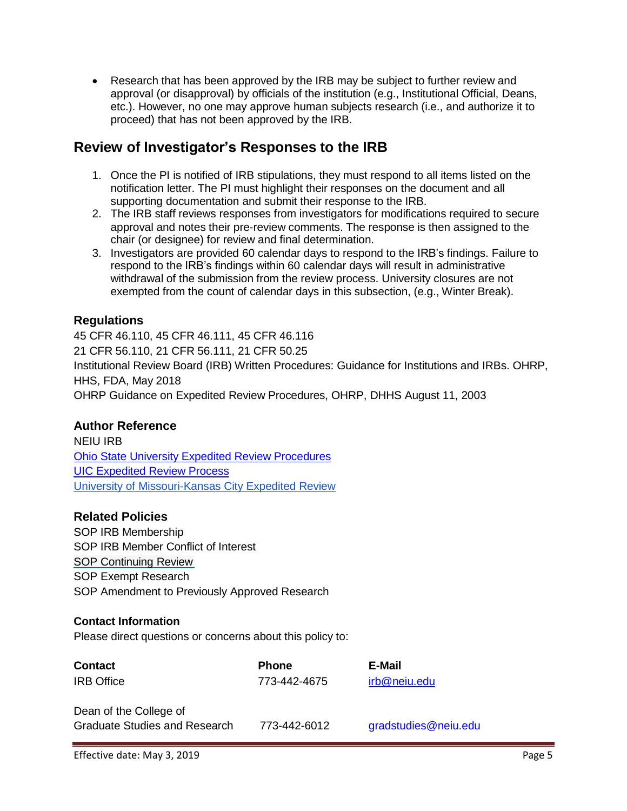Research that has been approved by the IRB may be subject to further review and approval (or disapproval) by officials of the institution (e.g., Institutional Official, Deans, etc.). However, no one may approve human subjects research (i.e., and authorize it to proceed) that has not been approved by the IRB.

## **Review of Investigator's Responses to the IRB**

- 1. Once the PI is notified of IRB stipulations, they must respond to all items listed on the notification letter. The PI must highlight their responses on the document and all supporting documentation and submit their response to the IRB.
- 2. The IRB staff reviews responses from investigators for modifications required to secure approval and notes their pre-review comments. The response is then assigned to the chair (or designee) for review and final determination.
- 3. Investigators are provided 60 calendar days to respond to the IRB's findings. Failure to respond to the IRB's findings within 60 calendar days will result in administrative withdrawal of the submission from the review process. University closures are not exempted from the count of calendar days in this subsection, (e.g., Winter Break).

### **Regulations**

45 CFR 46.110, 45 CFR 46.111, 45 CFR 46.116 21 CFR 56.110, 21 CFR 56.111, 21 CFR 50.25 Institutional Review Board (IRB) Written Procedures: Guidance for Institutions and IRBs. OHRP, HHS, FDA, May 2018 OHRP Guidance on Expedited Review Procedures, OHRP, DHHS August 11, 2003

#### **Author Reference**

NEIU IRB Ohio State University Expedited Review [Procedures](http://orrp.osu.edu/files/2012/02/Expedited-Review-Procedures.pdf) UIC [Expedited](http://research.uic.edu/sites/default/files/0294.pdf) Review Process University of [Missouri-Kansas](http://ors.umkc.edu/research-compliance/institutional-review-board-(irb)/expedited-review) City Expedited Review

#### **Related Policies**

SOP IRB Membership SOP IRB Member Conflict of Interest SOP Continuing Review SOP Exempt Research SOP Amendment to Previously Approved Research

#### **Contact Information**

Please direct questions or concerns about this policy to:

| <b>Contact</b>                                                 | <b>Phone</b> | E-Mail               |
|----------------------------------------------------------------|--------------|----------------------|
| <b>IRB</b> Office                                              | 773-442-4675 | irb@neiu.edu         |
| Dean of the College of<br><b>Graduate Studies and Research</b> | 773-442-6012 | gradstudies@neiu.edu |